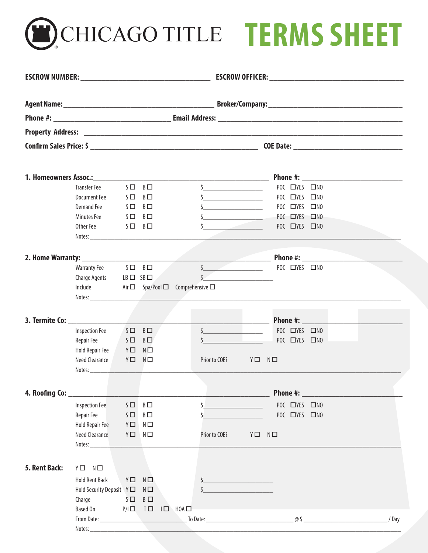**CHICAGO TITLE TERMS SHEET** 

|                              |                                                                                                                                                                                                                                |          |                                                 |                                                         |               |                                                                                                                                                                                                                                                                                                                     |  |                |  | Phone #: New York Phone #:                    |  |      |
|------------------------------|--------------------------------------------------------------------------------------------------------------------------------------------------------------------------------------------------------------------------------|----------|-------------------------------------------------|---------------------------------------------------------|---------------|---------------------------------------------------------------------------------------------------------------------------------------------------------------------------------------------------------------------------------------------------------------------------------------------------------------------|--|----------------|--|-----------------------------------------------|--|------|
|                              | Transfer Fee $S \Box B \Box$                                                                                                                                                                                                   |          |                                                 |                                                         |               | $\frac{1}{2}$                                                                                                                                                                                                                                                                                                       |  | POC CIYES CINO |  |                                               |  |      |
|                              | <b>Document Fee</b>                                                                                                                                                                                                            |          | $S \Box B \Box$                                 |                                                         |               | $\frac{1}{2}$ $\frac{1}{2}$ $\frac{1}{2}$ $\frac{1}{2}$ $\frac{1}{2}$ $\frac{1}{2}$ $\frac{1}{2}$ $\frac{1}{2}$ $\frac{1}{2}$ $\frac{1}{2}$ $\frac{1}{2}$ $\frac{1}{2}$ $\frac{1}{2}$ $\frac{1}{2}$ $\frac{1}{2}$ $\frac{1}{2}$ $\frac{1}{2}$ $\frac{1}{2}$ $\frac{1}{2}$ $\frac{1}{2}$ $\frac{1}{2}$ $\frac{1}{2}$ |  | POC CYES CINO  |  |                                               |  |      |
|                              | <b>Demand Fee</b>                                                                                                                                                                                                              |          | $S \Box B \Box$                                 |                                                         |               | $\zeta$ and $\zeta$ and $\zeta$ and $\zeta$ and $\zeta$                                                                                                                                                                                                                                                             |  | POC CYES CINO  |  |                                               |  |      |
|                              | Minutes Fee                                                                                                                                                                                                                    |          | $S \Box B \Box$                                 |                                                         |               | $\frac{1}{2}$                                                                                                                                                                                                                                                                                                       |  | POC TYES TINO  |  |                                               |  |      |
|                              | Other Fee $S \Box B \Box$                                                                                                                                                                                                      |          |                                                 |                                                         |               | $\mathsf{S}$                                                                                                                                                                                                                                                                                                        |  | POC CYES CINO  |  |                                               |  |      |
|                              |                                                                                                                                                                                                                                |          |                                                 |                                                         |               |                                                                                                                                                                                                                                                                                                                     |  |                |  |                                               |  |      |
|                              |                                                                                                                                                                                                                                |          |                                                 |                                                         |               |                                                                                                                                                                                                                                                                                                                     |  |                |  |                                               |  |      |
|                              | Warranty Fee $S \Box B \Box$                                                                                                                                                                                                   |          |                                                 |                                                         |               | $S$ POC $NES$ DNO                                                                                                                                                                                                                                                                                                   |  |                |  |                                               |  |      |
|                              | Charge Agents $LB \Box SB \Box$                                                                                                                                                                                                |          |                                                 | <b>Contract Contract Contract</b>                       |               | $\sim$                                                                                                                                                                                                                                                                                                              |  |                |  |                                               |  |      |
|                              |                                                                                                                                                                                                                                |          |                                                 | Include $Air \Box$ Spa/Pool $\Box$ Comprehensive $\Box$ |               |                                                                                                                                                                                                                                                                                                                     |  |                |  |                                               |  |      |
|                              |                                                                                                                                                                                                                                |          |                                                 |                                                         |               |                                                                                                                                                                                                                                                                                                                     |  |                |  |                                               |  |      |
|                              |                                                                                                                                                                                                                                |          |                                                 |                                                         |               |                                                                                                                                                                                                                                                                                                                     |  |                |  |                                               |  |      |
| 3. Termite Co: New York 1988 |                                                                                                                                                                                                                                |          |                                                 |                                                         |               |                                                                                                                                                                                                                                                                                                                     |  |                |  |                                               |  |      |
|                              | <b>Inspection Fee</b>                                                                                                                                                                                                          |          | $S \Box B \Box$                                 |                                                         |               |                                                                                                                                                                                                                                                                                                                     |  | POC CYES CINO  |  |                                               |  |      |
|                              | Repair Fee                                                                                                                                                                                                                     |          | $S \Box B \Box$                                 |                                                         |               |                                                                                                                                                                                                                                                                                                                     |  | POC CYES CINO  |  |                                               |  |      |
|                              | Hold Repair Fee Y D N D                                                                                                                                                                                                        |          |                                                 |                                                         |               |                                                                                                                                                                                                                                                                                                                     |  |                |  |                                               |  |      |
|                              | Need Clearance Y□ N□                                                                                                                                                                                                           |          |                                                 |                                                         |               | Prior to COE? Y□ N□                                                                                                                                                                                                                                                                                                 |  |                |  |                                               |  |      |
|                              | Notes: Notes: Notes: Notes: Notes: Notes: Notes: Notes: Notes: Notes: Notes: Notes: Notes: Notes: Notes: Notes: Notes: Notes: Notes: Notes: Notes: Notes: Notes: Notes: Notes: Notes: Notes: Notes: Notes: Notes: Notes: Notes |          |                                                 |                                                         |               |                                                                                                                                                                                                                                                                                                                     |  |                |  |                                               |  |      |
|                              |                                                                                                                                                                                                                                |          |                                                 |                                                         |               |                                                                                                                                                                                                                                                                                                                     |  |                |  |                                               |  |      |
|                              |                                                                                                                                                                                                                                |          |                                                 |                                                         |               |                                                                                                                                                                                                                                                                                                                     |  |                |  | Phone #: <u>Alexander Andrew Architecture</u> |  |      |
|                              | <b>Inspection Fee</b>                                                                                                                                                                                                          |          | $S \Box B \Box$                                 | \$                                                      |               |                                                                                                                                                                                                                                                                                                                     |  | POC OYES ONO   |  |                                               |  |      |
|                              | Repair Fee                                                                                                                                                                                                                     |          | $S \Box B \Box$                                 |                                                         |               |                                                                                                                                                                                                                                                                                                                     |  | POC CIYES CINO |  |                                               |  |      |
|                              | <b>Hold Repair Fee</b>                                                                                                                                                                                                         |          | $Y \Box N \Box$                                 |                                                         |               |                                                                                                                                                                                                                                                                                                                     |  |                |  |                                               |  |      |
|                              | <b>Need Clearance</b>                                                                                                                                                                                                          |          | $Y \Box N \Box$                                 |                                                         | Prior to COE? | $Y \Box N \Box$                                                                                                                                                                                                                                                                                                     |  |                |  |                                               |  |      |
|                              |                                                                                                                                                                                                                                |          |                                                 |                                                         |               |                                                                                                                                                                                                                                                                                                                     |  |                |  |                                               |  |      |
| 5. Rent Back:                | $Y \Box N \Box$                                                                                                                                                                                                                |          |                                                 |                                                         |               |                                                                                                                                                                                                                                                                                                                     |  |                |  |                                               |  |      |
|                              |                                                                                                                                                                                                                                |          |                                                 |                                                         |               |                                                                                                                                                                                                                                                                                                                     |  |                |  |                                               |  |      |
|                              | <b>Hold Rent Back</b>                                                                                                                                                                                                          | YΠ       | $N \Box$                                        |                                                         |               |                                                                                                                                                                                                                                                                                                                     |  |                |  |                                               |  |      |
|                              | Charge                                                                                                                                                                                                                         | $S \Box$ | $B \Box$                                        |                                                         |               |                                                                                                                                                                                                                                                                                                                     |  |                |  |                                               |  |      |
|                              | <b>Based On</b>                                                                                                                                                                                                                |          | $P/1$ $\Box$ $I$ $\Box$ $H$ $H$ $\Omega$ $\Box$ |                                                         |               |                                                                                                                                                                                                                                                                                                                     |  |                |  |                                               |  |      |
|                              |                                                                                                                                                                                                                                |          |                                                 |                                                         |               |                                                                                                                                                                                                                                                                                                                     |  |                |  | $\omega$ \$                                   |  | /Day |
|                              |                                                                                                                                                                                                                                |          |                                                 |                                                         |               |                                                                                                                                                                                                                                                                                                                     |  |                |  |                                               |  |      |